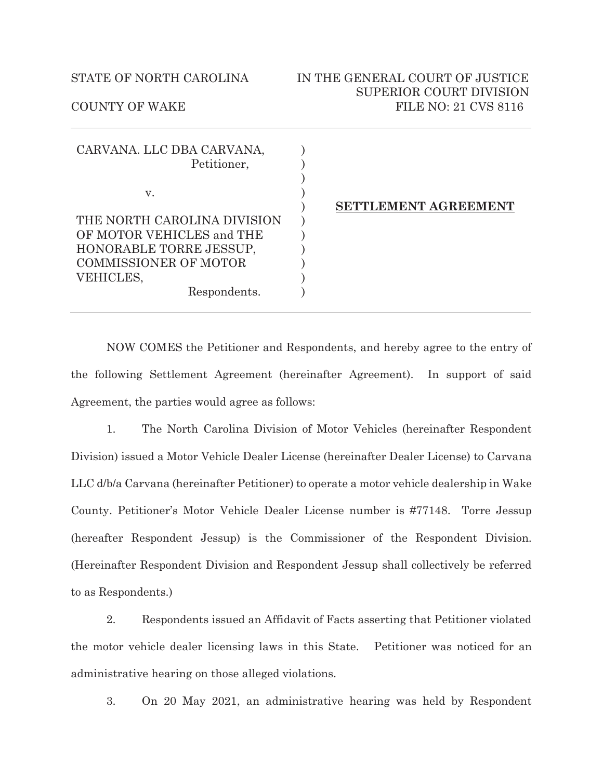| CARVANA. LLC DBA CARVANA,<br>Petitioner,                                             |  |
|--------------------------------------------------------------------------------------|--|
| v.                                                                                   |  |
| THE NORTH CAROLINA DIVISION                                                          |  |
| OF MOTOR VEHICLES and THE<br>HONORABLE TORRE JESSUP,<br><b>COMMISSIONER OF MOTOR</b> |  |
| VEHICLES,                                                                            |  |
| Respondents.                                                                         |  |

## **SETTLEMENT AGREEMENT**

NOW COMES the Petitioner and Respondents, and hereby agree to the entry of the following Settlement Agreement (hereinafter Agreement). In support of said Agreement, the parties would agree as follows:

1. The North Carolina Division of Motor Vehicles (hereinafter Respondent Division) issued a Motor Vehicle Dealer License (hereinafter Dealer License) to Carvana LLC d/b/a Carvana (hereinafter Petitioner) to operate a motor vehicle dealership in Wake County. Petitioner's Motor Vehicle Dealer License number is #77148. Torre Jessup (hereafter Respondent Jessup) is the Commissioner of the Respondent Division. (Hereinafter Respondent Division and Respondent Jessup shall collectively be referred to as Respondents.)

2. Respondents issued an Affidavit of Facts asserting that Petitioner violated the motor vehicle dealer licensing laws in this State. Petitioner was noticed for an administrative hearing on those alleged violations.

3. On 20 May 2021, an administrative hearing was held by Respondent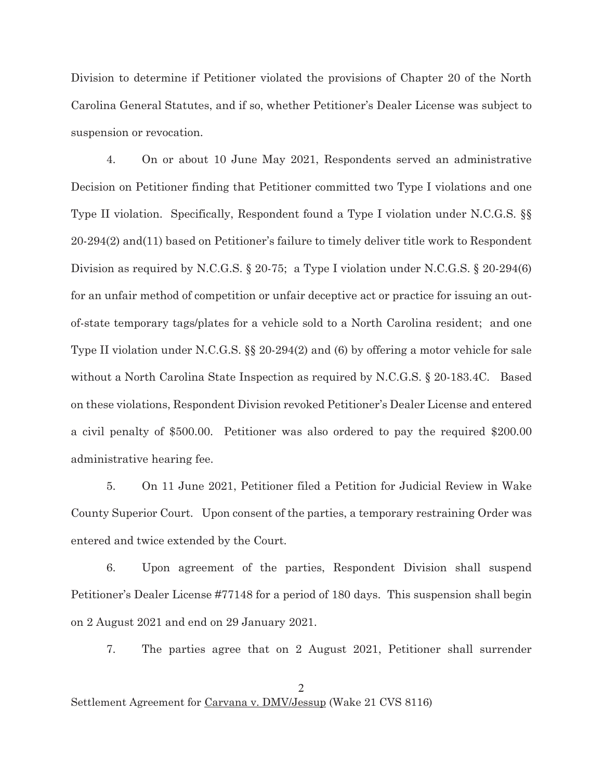Division to determine if Petitioner violated the provisions of Chapter 20 of the North Carolina General Statutes, and if so, whether Petitioner's Dealer License was subject to suspension or revocation.

4. On or about 10 June May 2021, Respondents served an administrative Decision on Petitioner finding that Petitioner committed two Type I violations and one Type II violation. Specifically, Respondent found a Type I violation under N.C.G.S. §§ 20-294(2) and(11) based on Petitioner's failure to timely deliver title work to Respondent Division as required by N.C.G.S. § 20-75; a Type I violation under N.C.G.S. § 20-294(6) for an unfair method of competition or unfair deceptive act or practice for issuing an outof-state temporary tags/plates for a vehicle sold to a North Carolina resident; and one Type II violation under N.C.G.S. §§ 20-294(2) and (6) by offering a motor vehicle for sale without a North Carolina State Inspection as required by N.C.G.S. § 20-183.4C. Based on these violations, Respondent Division revoked Petitioner's Dealer License and entered a civil penalty of \$500.00. Petitioner was also ordered to pay the required \$200.00 administrative hearing fee.

5. On 11 June 2021, Petitioner filed a Petition for Judicial Review in Wake County Superior Court. Upon consent of the parties, a temporary restraining Order was entered and twice extended by the Court.

6. Upon agreement of the parties, Respondent Division shall suspend Petitioner's Dealer License #77148 for a period of 180 days. This suspension shall begin on 2 August 2021 and end on 29 January 2021.

7. The parties agree that on 2 August 2021, Petitioner shall surrender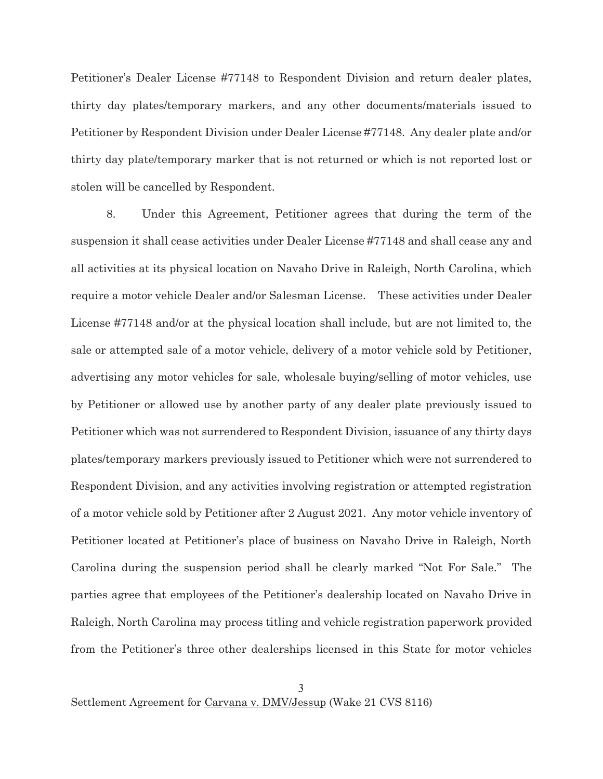Petitioner's Dealer License #77148 to Respondent Division and return dealer plates, thirty day plates/temporary markers, and any other documents/materials issued to Petitioner by Respondent Division under Dealer License #77148. Any dealer plate and/or thirty day plate/temporary marker that is not returned or which is not reported lost or stolen will be cancelled by Respondent.

8. Under this Agreement, Petitioner agrees that during the term of the suspension it shall cease activities under Dealer License #77148 and shall cease any and all activities at its physical location on Navaho Drive in Raleigh, North Carolina, which require a motor vehicle Dealer and/or Salesman License. These activities under Dealer License #77148 and/or at the physical location shall include, but are not limited to, the sale or attempted sale of a motor vehicle, delivery of a motor vehicle sold by Petitioner, advertising any motor vehicles for sale, wholesale buying/selling of motor vehicles, use by Petitioner or allowed use by another party of any dealer plate previously issued to Petitioner which was not surrendered to Respondent Division, issuance of any thirty days plates/temporary markers previously issued to Petitioner which were not surrendered to Respondent Division, and any activities involving registration or attempted registration of a motor vehicle sold by Petitioner after 2 August 2021. Any motor vehicle inventory of Petitioner located at Petitioner's place of business on Navaho Drive in Raleigh, North Carolina during the suspension period shall be clearly marked "Not For Sale." The parties agree that employees of the Petitioner's dealership located on Navaho Drive in Raleigh, North Carolina may process titling and vehicle registration paperwork provided from the Petitioner's three other dealerships licensed in this State for motor vehicles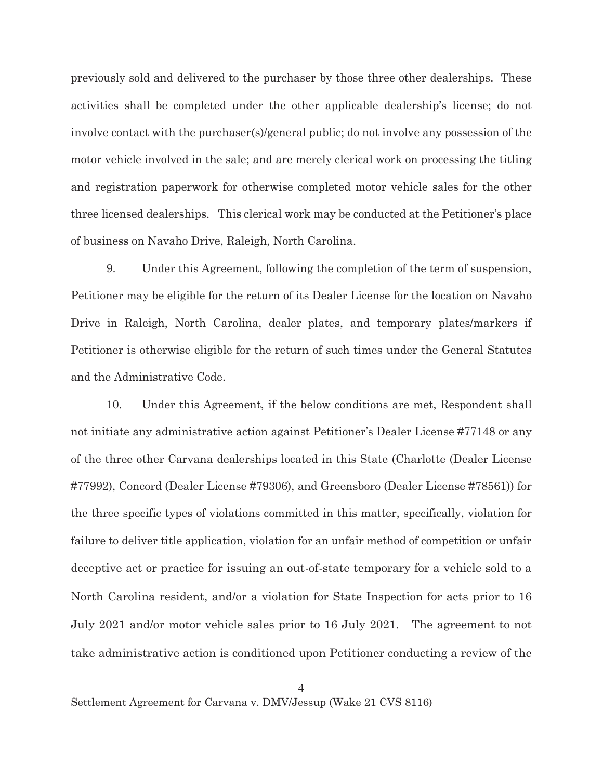previously sold and delivered to the purchaser by those three other dealerships. These activities shall be completed under the other applicable dealership's license; do not involve contact with the purchaser(s)/general public; do not involve any possession of the motor vehicle involved in the sale; and are merely clerical work on processing the titling and registration paperwork for otherwise completed motor vehicle sales for the other three licensed dealerships. This clerical work may be conducted at the Petitioner's place of business on Navaho Drive, Raleigh, North Carolina.

9. Under this Agreement, following the completion of the term of suspension, Petitioner may be eligible for the return of its Dealer License for the location on Navaho Drive in Raleigh, North Carolina, dealer plates, and temporary plates/markers if Petitioner is otherwise eligible for the return of such times under the General Statutes and the Administrative Code.

10. Under this Agreement, if the below conditions are met, Respondent shall not initiate any administrative action against Petitioner's Dealer License #77148 or any of the three other Carvana dealerships located in this State (Charlotte (Dealer License #77992), Concord (Dealer License #79306), and Greensboro (Dealer License #78561)) for the three specific types of violations committed in this matter, specifically, violation for failure to deliver title application, violation for an unfair method of competition or unfair deceptive act or practice for issuing an out-of-state temporary for a vehicle sold to a North Carolina resident, and/or a violation for State Inspection for acts prior to 16 July 2021 and/or motor vehicle sales prior to 16 July 2021. The agreement to not take administrative action is conditioned upon Petitioner conducting a review of the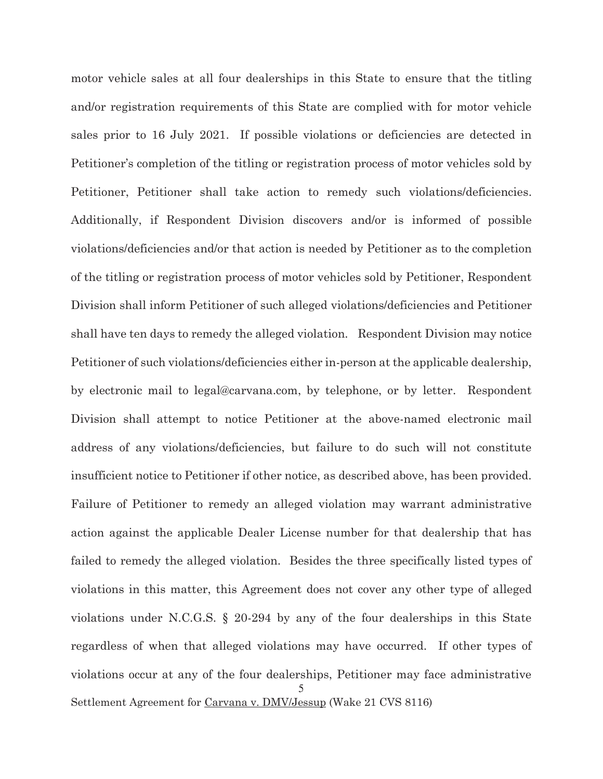Settlement Agreement for Carvana v. DMV/Jessup (Wake 21 CVS 8116) motor vehicle sales at all four dealerships in this State to ensure that the titling and/or registration requirements of this State are complied with for motor vehicle sales prior to 16 July 2021. If possible violations or deficiencies are detected in Petitioner's completion of the titling or registration process of motor vehicles sold by Petitioner, Petitioner shall take action to remedy such violations/deficiencies. Additionally, if Respondent Division discovers and/or is informed of possible violations/deficiencies and/or that action is needed by Petitioner as to the completion of the titling or registration process of motor vehicles sold by Petitioner, Respondent Division shall inform Petitioner of such alleged violations/deficiencies and Petitioner shall have ten days to remedy the alleged violation. Respondent Division may notice Petitioner of such violations/deficiencies either in-person at the applicable dealership, by electronic mail to legal@carvana.com, by telephone, or by letter. Respondent Division shall attempt to notice Petitioner at the above-named electronic mail address of any violations/deficiencies, but failure to do such will not constitute insufficient notice to Petitioner if other notice, as described above, has been provided. Failure of Petitioner to remedy an alleged violation may warrant administrative action against the applicable Dealer License number for that dealership that has failed to remedy the alleged violation. Besides the three specifically listed types of violations in this matter, this Agreement does not cover any other type of alleged violations under N.C.G.S. § 20-294 by any of the four dealerships in this State regardless of when that alleged violations may have occurred. If other types of violations occur at any of the four dealerships, Petitioner may face administrative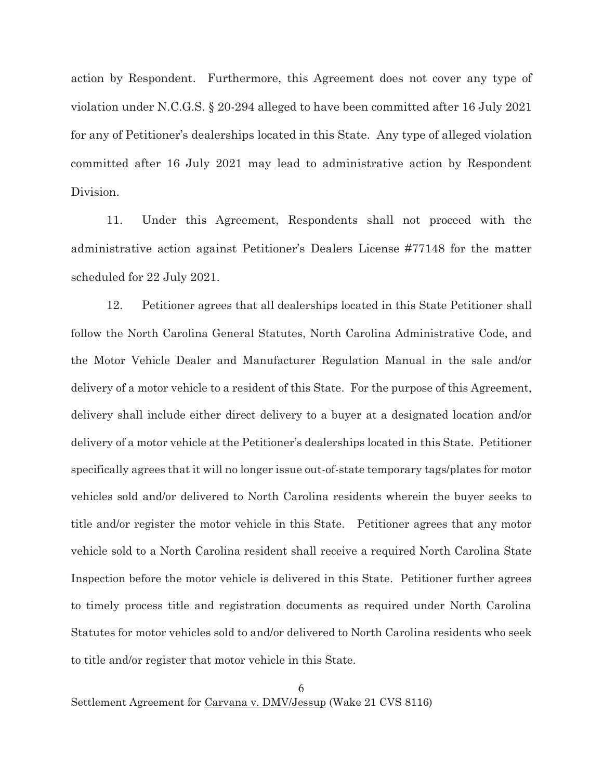action by Respondent. Furthermore, this Agreement does not cover any type of violation under N.C.G.S. § 20-294 alleged to have been committed after 16 July 2021 for any of Petitioner's dealerships located in this State. Any type of alleged violation committed after 16 July 2021 may lead to administrative action by Respondent Division.

11. Under this Agreement, Respondents shall not proceed with the administrative action against Petitioner's Dealers License #77148 for the matter scheduled for 22 July 2021.

12. Petitioner agrees that all dealerships located in this State Petitioner shall follow the North Carolina General Statutes, North Carolina Administrative Code, and the Motor Vehicle Dealer and Manufacturer Regulation Manual in the sale and/or delivery of a motor vehicle to a resident of this State. For the purpose of this Agreement, delivery shall include either direct delivery to a buyer at a designated location and/or delivery of a motor vehicle at the Petitioner's dealerships located in this State. Petitioner specifically agrees that it will no longer issue out-of-state temporary tags/plates for motor vehicles sold and/or delivered to North Carolina residents wherein the buyer seeks to title and/or register the motor vehicle in this State. Petitioner agrees that any motor vehicle sold to a North Carolina resident shall receive a required North Carolina State Inspection before the motor vehicle is delivered in this State. Petitioner further agrees to timely process title and registration documents as required under North Carolina Statutes for motor vehicles sold to and/or delivered to North Carolina residents who seek to title and/or register that motor vehicle in this State.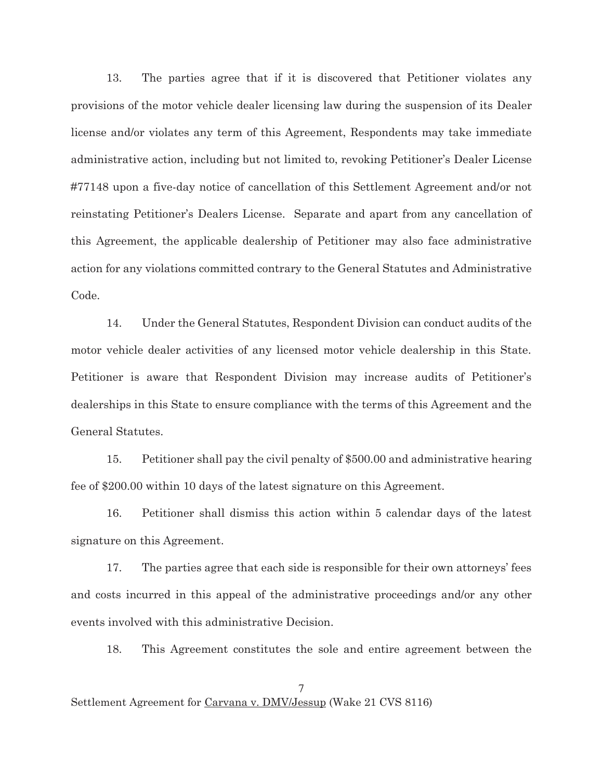13. The parties agree that if it is discovered that Petitioner violates any provisions of the motor vehicle dealer licensing law during the suspension of its Dealer license and/or violates any term of this Agreement, Respondents may take immediate administrative action, including but not limited to, revoking Petitioner's Dealer License #77148 upon a five-day notice of cancellation of this Settlement Agreement and/or not reinstating Petitioner's Dealers License. Separate and apart from any cancellation of this Agreement, the applicable dealership of Petitioner may also face administrative action for any violations committed contrary to the General Statutes and Administrative Code.

14. Under the General Statutes, Respondent Division can conduct audits of the motor vehicle dealer activities of any licensed motor vehicle dealership in this State. Petitioner is aware that Respondent Division may increase audits of Petitioner's dealerships in this State to ensure compliance with the terms of this Agreement and the General Statutes.

15. Petitioner shall pay the civil penalty of \$500.00 and administrative hearing fee of \$200.00 within 10 days of the latest signature on this Agreement.

16. Petitioner shall dismiss this action within 5 calendar days of the latest signature on this Agreement.

17. The parties agree that each side is responsible for their own attorneys' fees and costs incurred in this appeal of the administrative proceedings and/or any other events involved with this administrative Decision.

18. This Agreement constitutes the sole and entire agreement between the

Settlement Agreement for Carvana v. DMV/Jessup (Wake 21 CVS 8116)